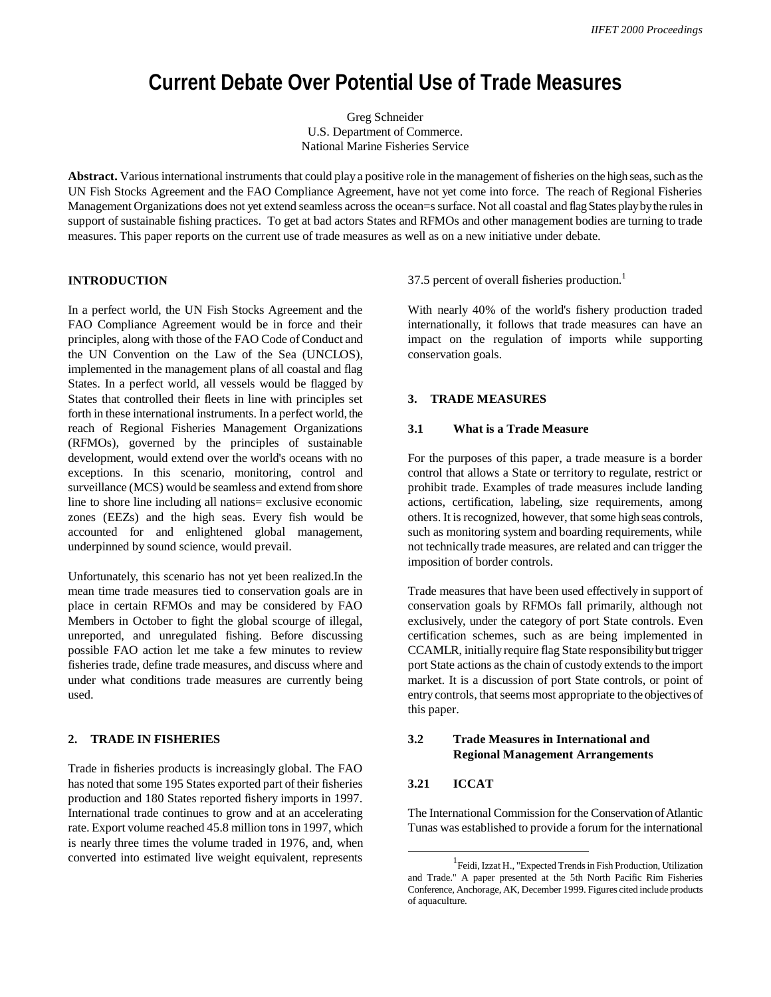# **Current Debate Over Potential Use of Trade Measures**

Greg Schneider U.S. Department of Commerce. National Marine Fisheries Service

**Abstract.** Various international instruments that could play a positive role in the management of fisheries on the high seas, such as the UN Fish Stocks Agreement and the FAO Compliance Agreement, have not yet come into force. The reach of Regional Fisheries Management Organizations does not yet extend seamless across the ocean=s surface. Not all coastal and flag States play by the rules in support of sustainable fishing practices. To get at bad actors States and RFMOs and other management bodies are turning to trade measures. This paper reports on the current use of trade measures as well as on a new initiative under debate.

## **INTRODUCTION**

In a perfect world, the UN Fish Stocks Agreement and the FAO Compliance Agreement would be in force and their principles, along with those of the FAO Code of Conduct and the UN Convention on the Law of the Sea (UNCLOS), implemented in the management plans of all coastal and flag States. In a perfect world, all vessels would be flagged by States that controlled their fleets in line with principles set forth in these international instruments. In a perfect world, the reach of Regional Fisheries Management Organizations (RFMOs), governed by the principles of sustainable development, would extend over the world's oceans with no exceptions. In this scenario, monitoring, control and surveillance (MCS) would be seamless and extend from shore line to shore line including all nations= exclusive economic zones (EEZs) and the high seas. Every fish would be accounted for and enlightened global management, underpinned by sound science, would prevail.

Unfortunately, this scenario has not yet been realized.In the mean time trade measures tied to conservation goals are in place in certain RFMOs and may be considered by FAO Members in October to fight the global scourge of illegal, unreported, and unregulated fishing. Before discussing possible FAO action let me take a few minutes to review fisheries trade, define trade measures, and discuss where and under what conditions trade measures are currently being used.

## **2. TRADE IN FISHERIES**

Trade in fisheries products is increasingly global. The FAO has noted that some 195 States exported part of their fisheries production and 180 States reported fishery imports in 1997. International trade continues to grow and at an accelerating rate. Export volume reached 45.8 million tons in 1997, which is nearly three times the volume traded in 1976, and, when converted into estimated live weight equivalent, represents

37.5 percent of overall fisheries production.<sup>1</sup>

With nearly 40% of the world's fishery production traded internationally, it follows that trade measures can have an impact on the regulation of imports while supporting conservation goals.

#### **3. TRADE MEASURES**

#### **3.1 What is a Trade Measure**

For the purposes of this paper, a trade measure is a border control that allows a State or territory to regulate, restrict or prohibit trade. Examples of trade measures include landing actions, certification, labeling, size requirements, among others. It is recognized, however, that some high seas controls, such as monitoring system and boarding requirements, while not technically trade measures, are related and can trigger the imposition of border controls.

Trade measures that have been used effectively in support of conservation goals by RFMOs fall primarily, although not exclusively, under the category of port State controls. Even certification schemes, such as are being implemented in CCAMLR, initially require flag State responsibility but trigger port State actions as the chain of custody extends to the import market. It is a discussion of port State controls, or point of entry controls, that seems most appropriate to the objectives of this paper.

## **3.2 Trade Measures in International and Regional Management Arrangements**

#### **3.21 ICCAT**

The International Commission for the Conservation of Atlantic Tunas was established to provide a forum for the international

<sup>1</sup> Feidi, Izzat H., "Expected Trends in Fish Production, Utilization and Trade." A paper presented at the 5th North Pacific Rim Fisheries Conference, Anchorage, AK, December 1999. Figures cited include products of aquaculture.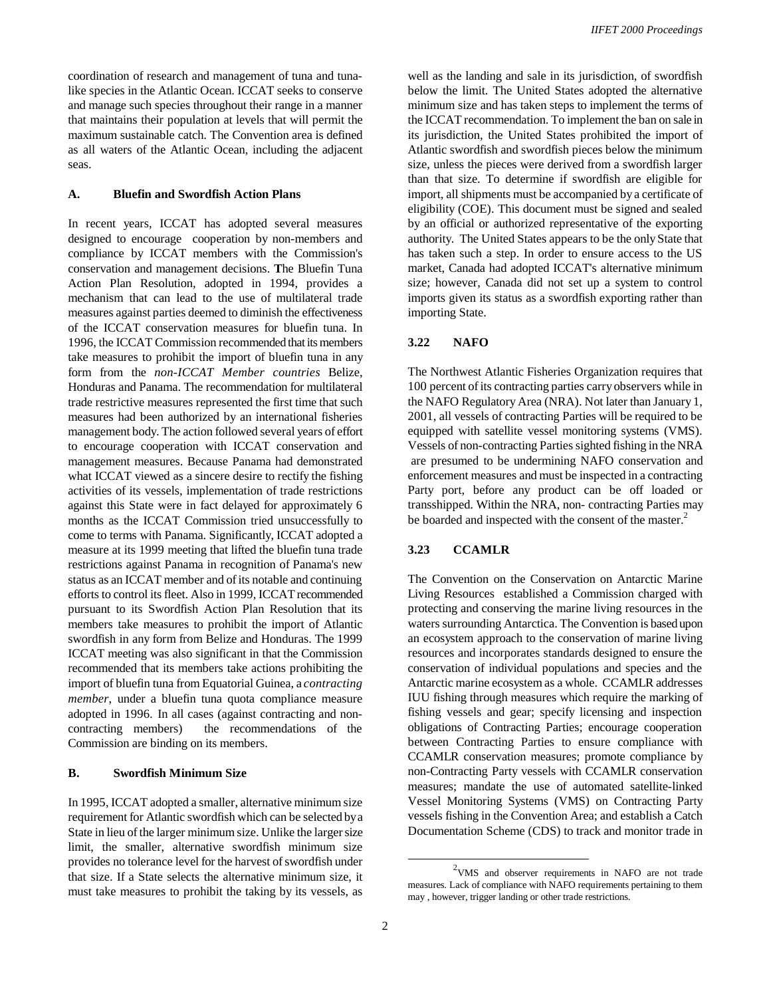coordination of research and management of tuna and tunalike species in the Atlantic Ocean. ICCAT seeks to conserve and manage such species throughout their range in a manner that maintains their population at levels that will permit the maximum sustainable catch. The Convention area is defined as all waters of the Atlantic Ocean, including the adjacent seas.

## **A. Bluefin and Swordfish Action Plans**

In recent years, ICCAT has adopted several measures designed to encourage cooperation by non-members and compliance by ICCAT members with the Commission's conservation and management decisions. **T**he Bluefin Tuna Action Plan Resolution, adopted in 1994, provides a mechanism that can lead to the use of multilateral trade measures against parties deemed to diminish the effectiveness of the ICCAT conservation measures for bluefin tuna. In 1996, the ICCAT Commission recommended that its members take measures to prohibit the import of bluefin tuna in any form from the *non-ICCAT Member countries* Belize, Honduras and Panama. The recommendation for multilateral trade restrictive measures represented the first time that such measures had been authorized by an international fisheries management body. The action followed several years of effort to encourage cooperation with ICCAT conservation and management measures. Because Panama had demonstrated what ICCAT viewed as a sincere desire to rectify the fishing activities of its vessels, implementation of trade restrictions against this State were in fact delayed for approximately 6 months as the ICCAT Commission tried unsuccessfully to come to terms with Panama. Significantly, ICCAT adopted a measure at its 1999 meeting that lifted the bluefin tuna trade restrictions against Panama in recognition of Panama's new status as an ICCAT member and of its notable and continuing efforts to control its fleet. Also in 1999, ICCAT recommended pursuant to its Swordfish Action Plan Resolution that its members take measures to prohibit the import of Atlantic swordfish in any form from Belize and Honduras. The 1999 ICCAT meeting was also significant in that the Commission recommended that its members take actions prohibiting the import of bluefin tuna from Equatorial Guinea, a *contracting member*, under a bluefin tuna quota compliance measure adopted in 1996*.* In all cases (against contracting and noncontracting members) the recommendations of the Commission are binding on its members.

#### **B. Swordfish Minimum Size**

In 1995, ICCAT adopted a smaller, alternative minimum size requirement for Atlantic swordfish which can be selected by a State in lieu of the larger minimum size. Unlike the larger size limit, the smaller, alternative swordfish minimum size provides no tolerance level for the harvest of swordfish under that size. If a State selects the alternative minimum size, it must take measures to prohibit the taking by its vessels, as

well as the landing and sale in its jurisdiction, of swordfish below the limit. The United States adopted the alternative minimum size and has taken steps to implement the terms of the ICCAT recommendation. To implement the ban on sale in its jurisdiction, the United States prohibited the import of Atlantic swordfish and swordfish pieces below the minimum size, unless the pieces were derived from a swordfish larger than that size. To determine if swordfish are eligible for import, all shipments must be accompanied by a certificate of eligibility (COE). This document must be signed and sealed by an official or authorized representative of the exporting authority. The United States appears to be the only State that has taken such a step. In order to ensure access to the US market, Canada had adopted ICCAT's alternative minimum size; however, Canada did not set up a system to control imports given its status as a swordfish exporting rather than importing State.

## **3.22 NAFO**

The Northwest Atlantic Fisheries Organization requires that 100 percent of its contracting parties carry observers while in the NAFO Regulatory Area (NRA). Not later than January 1, 2001, all vessels of contracting Parties will be required to be equipped with satellite vessel monitoring systems (VMS). Vessels of non-contracting Parties sighted fishing in the NRA are presumed to be undermining NAFO conservation and enforcement measures and must be inspected in a contracting Party port, before any product can be off loaded or transshipped. Within the NRA, non- contracting Parties may be boarded and inspected with the consent of the master.<sup>2</sup>

## **3.23 CCAMLR**

The Convention on the Conservation on Antarctic Marine Living Resources established a Commission charged with protecting and conserving the marine living resources in the waters surrounding Antarctica. The Convention is based upon an ecosystem approach to the conservation of marine living resources and incorporates standards designed to ensure the conservation of individual populations and species and the Antarctic marine ecosystem as a whole. CCAMLR addresses IUU fishing through measures which require the marking of fishing vessels and gear; specify licensing and inspection obligations of Contracting Parties; encourage cooperation between Contracting Parties to ensure compliance with CCAMLR conservation measures; promote compliance by non-Contracting Party vessels with CCAMLR conservation measures; mandate the use of automated satellite-linked Vessel Monitoring Systems (VMS) on Contracting Party vessels fishing in the Convention Area; and establish a Catch Documentation Scheme (CDS) to track and monitor trade in

 $2$ VMS and observer requirements in NAFO are not trade measures. Lack of compliance with NAFO requirements pertaining to them may , however, trigger landing or other trade restrictions.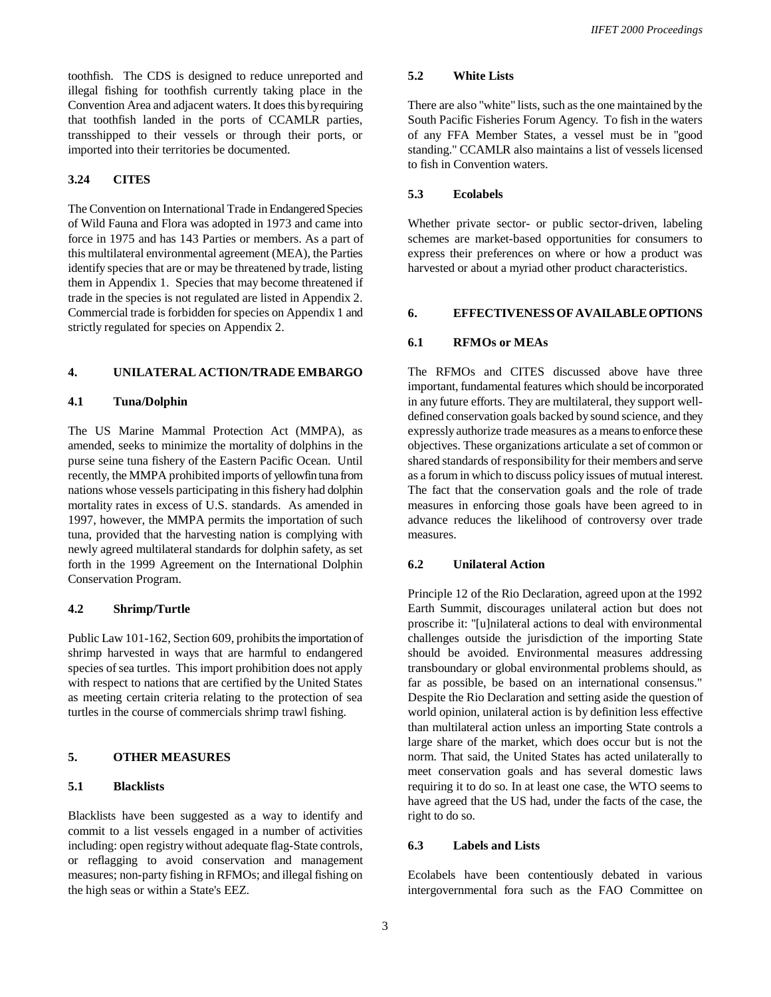toothfish. The CDS is designed to reduce unreported and illegal fishing for toothfish currently taking place in the Convention Area and adjacent waters. It does this by requiring that toothfish landed in the ports of CCAMLR parties, transshipped to their vessels or through their ports, or imported into their territories be documented.

## **3.24 CITES**

The Convention on International Trade in Endangered Species of Wild Fauna and Flora was adopted in 1973 and came into force in 1975 and has 143 Parties or members. As a part of this multilateral environmental agreement (MEA), the Parties identify species that are or may be threatened by trade, listing them in Appendix 1. Species that may become threatened if trade in the species is not regulated are listed in Appendix 2. Commercial trade is forbidden for species on Appendix 1 and strictly regulated for species on Appendix 2.

## **4. UNILATERAL ACTION/TRADE EMBARGO**

## **4.1 Tuna/Dolphin**

The US Marine Mammal Protection Act (MMPA), as amended, seeks to minimize the mortality of dolphins in the purse seine tuna fishery of the Eastern Pacific Ocean. Until recently, the MMPA prohibited imports of yellowfin tuna from nations whose vessels participating in this fishery had dolphin mortality rates in excess of U.S. standards. As amended in 1997, however, the MMPA permits the importation of such tuna, provided that the harvesting nation is complying with newly agreed multilateral standards for dolphin safety, as set forth in the 1999 Agreement on the International Dolphin Conservation Program.

## **4.2 Shrimp/Turtle**

Public Law 101-162, Section 609, prohibits the importation of shrimp harvested in ways that are harmful to endangered species of sea turtles. This import prohibition does not apply with respect to nations that are certified by the United States as meeting certain criteria relating to the protection of sea turtles in the course of commercials shrimp trawl fishing.

## **5. OTHER MEASURES**

#### **5.1 Blacklists**

Blacklists have been suggested as a way to identify and commit to a list vessels engaged in a number of activities including: open registry without adequate flag-State controls, or reflagging to avoid conservation and management measures; non-party fishing in RFMOs; and illegal fishing on the high seas or within a State's EEZ.

## **5.2 White Lists**

There are also "white" lists, such as the one maintained by the South Pacific Fisheries Forum Agency. To fish in the waters of any FFA Member States, a vessel must be in "good standing." CCAMLR also maintains a list of vessels licensed to fish in Convention waters.

## **5.3 Ecolabels**

Whether private sector- or public sector-driven, labeling schemes are market-based opportunities for consumers to express their preferences on where or how a product was harvested or about a myriad other product characteristics.

## **6. EFFECTIVENESS OF AVAILABLE OPTIONS**

#### **6.1 RFMOs or MEAs**

The RFMOs and CITES discussed above have three important, fundamental features which should be incorporated in any future efforts. They are multilateral, they support welldefined conservation goals backed by sound science, and they expressly authorize trade measures as a means to enforce these objectives. These organizations articulate a set of common or shared standards of responsibility for their members and serve as a forum in which to discuss policy issues of mutual interest. The fact that the conservation goals and the role of trade measures in enforcing those goals have been agreed to in advance reduces the likelihood of controversy over trade measures.

#### **6.2 Unilateral Action**

Principle 12 of the Rio Declaration, agreed upon at the 1992 Earth Summit, discourages unilateral action but does not proscribe it: "[u]nilateral actions to deal with environmental challenges outside the jurisdiction of the importing State should be avoided. Environmental measures addressing transboundary or global environmental problems should, as far as possible, be based on an international consensus." Despite the Rio Declaration and setting aside the question of world opinion, unilateral action is by definition less effective than multilateral action unless an importing State controls a large share of the market, which does occur but is not the norm. That said, the United States has acted unilaterally to meet conservation goals and has several domestic laws requiring it to do so. In at least one case, the WTO seems to have agreed that the US had, under the facts of the case, the right to do so.

## **6.3 Labels and Lists**

Ecolabels have been contentiously debated in various intergovernmental fora such as the FAO Committee on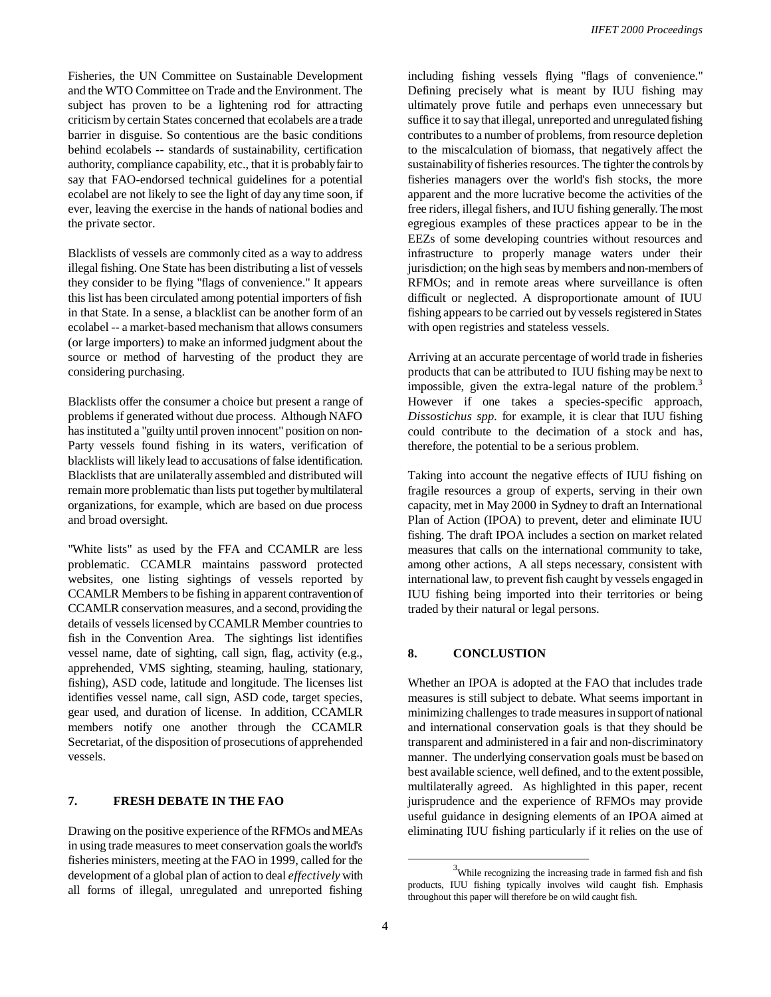Fisheries, the UN Committee on Sustainable Development and the WTO Committee on Trade and the Environment. The subject has proven to be a lightening rod for attracting criticism by certain States concerned that ecolabels are a trade barrier in disguise. So contentious are the basic conditions behind ecolabels -- standards of sustainability, certification authority, compliance capability, etc., that it is probably fair to say that FAO-endorsed technical guidelines for a potential ecolabel are not likely to see the light of day any time soon, if ever, leaving the exercise in the hands of national bodies and the private sector.

Blacklists of vessels are commonly cited as a way to address illegal fishing. One State has been distributing a list of vessels they consider to be flying "flags of convenience." It appears this list has been circulated among potential importers of fish in that State. In a sense, a blacklist can be another form of an ecolabel -- a market-based mechanism that allows consumers (or large importers) to make an informed judgment about the source or method of harvesting of the product they are considering purchasing.

Blacklists offer the consumer a choice but present a range of problems if generated without due process. Although NAFO has instituted a "guilty until proven innocent" position on non-Party vessels found fishing in its waters, verification of blacklists will likely lead to accusations of false identification. Blacklists that are unilaterally assembled and distributed will remain more problematic than lists put together by multilateral organizations, for example, which are based on due process and broad oversight.

"White lists" as used by the FFA and CCAMLR are less problematic. CCAMLR maintains password protected websites, one listing sightings of vessels reported by CCAMLR Members to be fishing in apparent contravention of CCAMLR conservation measures, and a second, providing the details of vessels licensed by CCAMLR Member countries to fish in the Convention Area. The sightings list identifies vessel name, date of sighting, call sign, flag, activity (e.g., apprehended, VMS sighting, steaming, hauling, stationary, fishing), ASD code, latitude and longitude. The licenses list identifies vessel name, call sign, ASD code, target species, gear used, and duration of license. In addition, CCAMLR members notify one another through the CCAMLR Secretariat, of the disposition of prosecutions of apprehended vessels.

#### **7. FRESH DEBATE IN THE FAO**

Drawing on the positive experience of the RFMOs and MEAs in using trade measures to meet conservation goals the world's fisheries ministers, meeting at the FAO in 1999, called for the development of a global plan of action to deal *effectively* with all forms of illegal, unregulated and unreported fishing

including fishing vessels flying "flags of convenience." Defining precisely what is meant by IUU fishing may ultimately prove futile and perhaps even unnecessary but suffice it to say that illegal, unreported and unregulated fishing contributes to a number of problems, from resource depletion to the miscalculation of biomass, that negatively affect the sustainability of fisheries resources. The tighter the controls by fisheries managers over the world's fish stocks, the more apparent and the more lucrative become the activities of the free riders, illegal fishers, and IUU fishing generally. The most egregious examples of these practices appear to be in the EEZs of some developing countries without resources and infrastructure to properly manage waters under their jurisdiction; on the high seas by members and non-members of RFMOs; and in remote areas where surveillance is often difficult or neglected. A disproportionate amount of IUU fishing appears to be carried out by vessels registered in States with open registries and stateless vessels.

Arriving at an accurate percentage of world trade in fisheries products that can be attributed to IUU fishing may be next to impossible, given the extra-legal nature of the problem. $3$ However if one takes a species-specific approach, *Dissostichus spp.* for example, it is clear that IUU fishing could contribute to the decimation of a stock and has, therefore, the potential to be a serious problem.

Taking into account the negative effects of IUU fishing on fragile resources a group of experts, serving in their own capacity, met in May 2000 in Sydney to draft an International Plan of Action (IPOA) to prevent, deter and eliminate IUU fishing. The draft IPOA includes a section on market related measures that calls on the international community to take, among other actions, A all steps necessary, consistent with international law, to prevent fish caught by vessels engaged in IUU fishing being imported into their territories or being traded by their natural or legal persons.

## **8. CONCLUSTION**

Whether an IPOA is adopted at the FAO that includes trade measures is still subject to debate. What seems important in minimizing challenges to trade measures in support of national and international conservation goals is that they should be transparent and administered in a fair and non-discriminatory manner. The underlying conservation goals must be based on best available science, well defined, and to the extent possible, multilaterally agreed. As highlighted in this paper, recent jurisprudence and the experience of RFMOs may provide useful guidance in designing elements of an IPOA aimed at eliminating IUU fishing particularly if it relies on the use of

 $3$ While recognizing the increasing trade in farmed fish and fish products, IUU fishing typically involves wild caught fish. Emphasis throughout this paper will therefore be on wild caught fish.